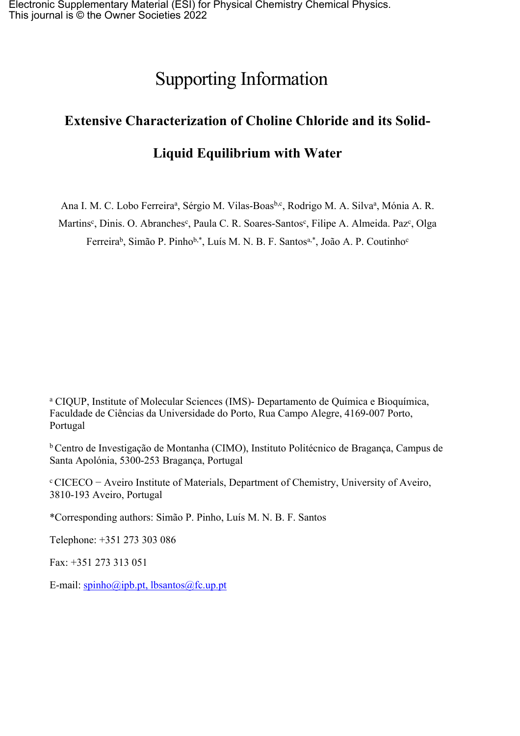# Supporting Information

# **Extensive Characterization of Choline Chloride and its Solid-**

# **Liquid Equilibrium with Water**

Ana I. M. C. Lobo Ferreira<sup>a</sup>, Sérgio M. Vilas-Boas<sup>b,c</sup>, Rodrigo M. A. Silva<sup>a</sup>, Mónia A. R.

Martins<sup>c</sup>, Dinis. O. Abranches<sup>c</sup>, Paula C. R. Soares-Santos<sup>c</sup>, Filipe A. Almeida. Paz<sup>c</sup>, Olga Ferreira<sup>b</sup>, Simão P. Pinho<sup>b,\*</sup>, Luís M. N. B. F. Santos<sup>a,\*</sup>, João A. P. Coutinho<sup>c</sup>

<sup>a</sup> CIQUP, Institute of Molecular Sciences (IMS)- Departamento de Química e Bioquímica, Faculdade de Ciências da Universidade do Porto, Rua Campo Alegre, 4169-007 Porto, Portugal

<sup>b</sup> Centro de Investigação de Montanha (CIMO), Instituto Politécnico de Bragança, Campus de Santa Apolónia, 5300-253 Bragança, Portugal

<sup>c</sup> CICECO − Aveiro Institute of Materials, Department of Chemistry, University of Aveiro, 3810-193 Aveiro, Portugal

\*Corresponding authors: Simão P. Pinho, Luís M. N. B. F. Santos

Telephone: +351 273 303 086

Fax: +351 273 313 051

E-mail: [spinho@ipb.pt](mailto:spinho@ipb.pt), lbsantos@fc.up.pt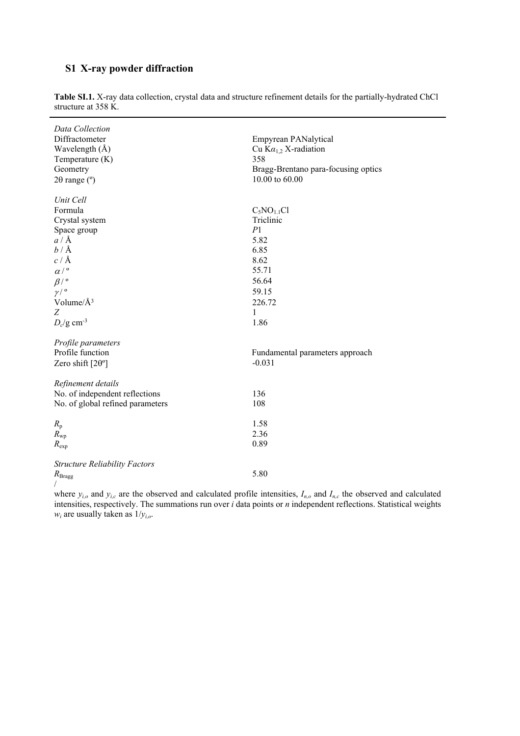## **S1 X-ray powder diffraction**

| Data Collection<br>Diffractometer<br>Wavelength $(\AA)$<br>Temperature (K)<br>Geometry<br>$2\theta$ range ( $\degree$ )                                                                                                                 | Empyrean PANalytical<br>Cu $Ka_{1,2}$ X-radiation<br>358<br>Bragg-Brentano para-focusing optics<br>10.00 to 60.00 |
|-----------------------------------------------------------------------------------------------------------------------------------------------------------------------------------------------------------------------------------------|-------------------------------------------------------------------------------------------------------------------|
| Unit Cell                                                                                                                                                                                                                               |                                                                                                                   |
| Formula                                                                                                                                                                                                                                 | $C_5NO_{1.1}Cl$                                                                                                   |
| Crystal system                                                                                                                                                                                                                          | Triclinic                                                                                                         |
| Space group                                                                                                                                                                                                                             | P1                                                                                                                |
| $a/\text{Å}$                                                                                                                                                                                                                            | 5.82                                                                                                              |
| $b/\text{\AA}$                                                                                                                                                                                                                          | 6.85                                                                                                              |
| c/A                                                                                                                                                                                                                                     | 8.62                                                                                                              |
| $\alpha/$ <sup>o</sup>                                                                                                                                                                                                                  | 55.71                                                                                                             |
| $\beta$ / $\circ$                                                                                                                                                                                                                       | 56.64                                                                                                             |
| $\gamma/$ <sup>o</sup>                                                                                                                                                                                                                  | 59.15                                                                                                             |
| Volume/Å <sup>3</sup>                                                                                                                                                                                                                   | 226.72                                                                                                            |
| Z                                                                                                                                                                                                                                       | $\mathbf{1}$                                                                                                      |
| $D_c$ /g cm <sup>-3</sup>                                                                                                                                                                                                               | 1.86                                                                                                              |
| Profile parameters                                                                                                                                                                                                                      |                                                                                                                   |
| Profile function                                                                                                                                                                                                                        | Fundamental parameters approach                                                                                   |
| Zero shift $[2\theta^{\circ}]$                                                                                                                                                                                                          | $-0.031$                                                                                                          |
| Refinement details                                                                                                                                                                                                                      |                                                                                                                   |
| No. of independent reflections                                                                                                                                                                                                          | 136                                                                                                               |
| No. of global refined parameters                                                                                                                                                                                                        | 108                                                                                                               |
| $R_{\rm p}$                                                                                                                                                                                                                             | 1.58                                                                                                              |
| $R_{\rm wp}$                                                                                                                                                                                                                            | 2.36                                                                                                              |
| $R_{\rm exp}$                                                                                                                                                                                                                           | 0.89                                                                                                              |
| <b>Structure Reliability Factors</b>                                                                                                                                                                                                    |                                                                                                                   |
| $R_{\rm Bragg}$                                                                                                                                                                                                                         | 5.80                                                                                                              |
| $\mathcal{A}$ and the state of the state $\mathcal{A}$ and the state of the state of the state of the state of the state of the state of the state of the state of the state of the state of the state of the state of the state of the |                                                                                                                   |

**Table SI.1.** X-ray data collection, crystal data and structure refinement details for the partially-hydrated ChCl structure at 358 K.

where  $y_{i,o}$  and  $y_{i,c}$  are the observed and calculated profile intensities,  $I_{n,o}$  and  $I_{n,c}$  the observed and calculated intensities, respectively. The summations run over *i* data points or *n* independent reflections. Statistical weights  $w_i$  are usually taken as  $1/y_{i,o}$ .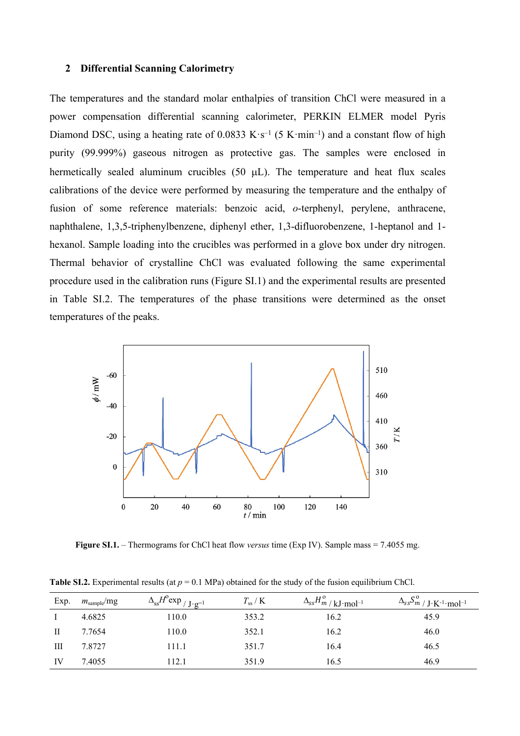#### **2 Differential Scanning Calorimetry**

The temperatures and the standard molar enthalpies of transition ChCl were measured in a power compensation differential scanning calorimeter, PERKIN ELMER model Pyris Diamond DSC, using a heating rate of 0.0833  $K \cdot s^{-1}$  (5  $K \cdot min^{-1}$ ) and a constant flow of high purity (99.999%) gaseous nitrogen as protective gas. The samples were enclosed in hermetically sealed aluminum crucibles  $(50 \text{ uL})$ . The temperature and heat flux scales calibrations of the device were performed by measuring the temperature and the enthalpy of fusion of some reference materials: benzoic acid, *o*-terphenyl, perylene, anthracene, naphthalene, 1,3,5-triphenylbenzene, diphenyl ether, 1,3-difluorobenzene, 1-heptanol and 1 hexanol. Sample loading into the crucibles was performed in a glove box under dry nitrogen. Thermal behavior of crystalline ChCl was evaluated following the same experimental procedure used in the calibration runs (Figure SI.1) and the experimental results are presented in Table SI.2. The temperatures of the phase transitions were determined as the onset temperatures of the peaks.



**Figure SI.1.** – Thermograms for ChCl heat flow *versus* time (Exp IV). Sample mass = 7.4055 mg.

| Exp. | $m_{\text{sample}}$ /mg | $\Delta_{ss}H^{\circ}$ exp <sub>/J·g<sup>-1</sup></sub> | $T_{ss}$ / K | $\Delta_{ss}H_{m}^{\rm o}/\left\vert_{\rm kJ\cdot mol^{-1}}\right\vert$ | $\Delta_{ss}S^{\,\rm o}_{m\,/\,{\rm J\cdot K^{\text{-}1\cdot}mol^{\text{-}1}}$ |
|------|-------------------------|---------------------------------------------------------|--------------|-------------------------------------------------------------------------|--------------------------------------------------------------------------------|
|      | 4.6825                  | 110.0                                                   | 353.2        | 16.2                                                                    | 45.9                                                                           |
|      | 7.7654                  | 110.0                                                   | 352.1        | 16.2                                                                    | 46.0                                                                           |
| Ш    | 7.8727                  | 111.1                                                   | 351.7        | 16.4                                                                    | 46.5                                                                           |
| IV   | 7.4055                  | 112.1                                                   | 351.9        | 16.5                                                                    | 46.9                                                                           |

**Table SI.2.** Experimental results (at  $p = 0.1$  MPa) obtained for the study of the fusion equilibrium ChCl.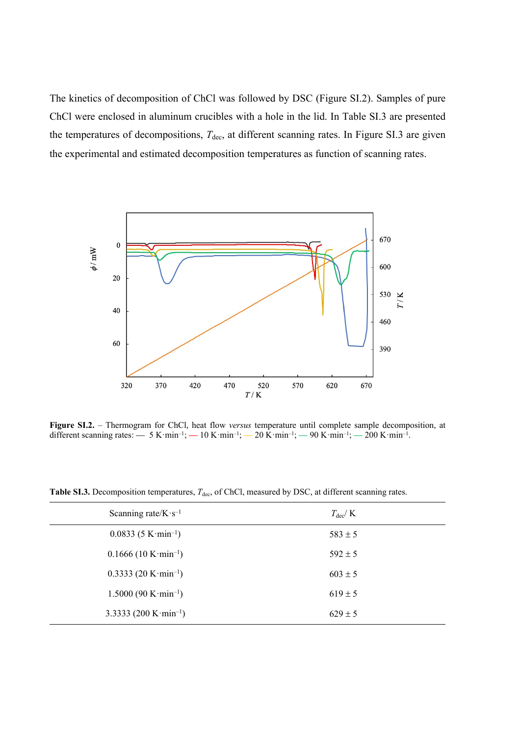The kinetics of decomposition of ChCl was followed by DSC (Figure SI.2). Samples of pure ChCl were enclosed in aluminum crucibles with a hole in the lid. In Table SI.3 are presented the temperatures of decompositions,  $T_{\text{dec}}$ , at different scanning rates. In Figure SI.3 are given the experimental and estimated decomposition temperatures as function of scanning rates



**Figure SI.2.** – Thermogram for ChCl, heat flow *versus* temperature until complete sample decomposition, at different scanning rates: — 5 K·min<sup>-1</sup>; — 10 K·min<sup>-1</sup>; — 20 K·min<sup>-1</sup>; — 90 K·min<sup>-1</sup>; — 200 K·min<sup>-1</sup>.

**Table SI.3.** Decomposition temperatures,  $T_{\text{dec}}$ , of ChCl, measured by DSC, at different scanning rates.

| Scanning rate/ $K \cdot s^{-1}$                 | $T_{\rm dec}/K$ |
|-------------------------------------------------|-----------------|
| $0.0833(5 \text{ K}\cdot\text{min}^{-1})$       | $583 \pm 5$     |
| $0.1666(10 \mathrm{K} \cdot \mathrm{min}^{-1})$ | $592 \pm 5$     |
| $0.3333(20 \text{ K}\cdot\text{min}^{-1})$      | $603 \pm 5$     |
| $1.5000 (90 K·min^{-1})$                        | $619 \pm 5$     |
| 3.3333 (200 K $\cdot$ min <sup>-1</sup> )       | $629 \pm 5$     |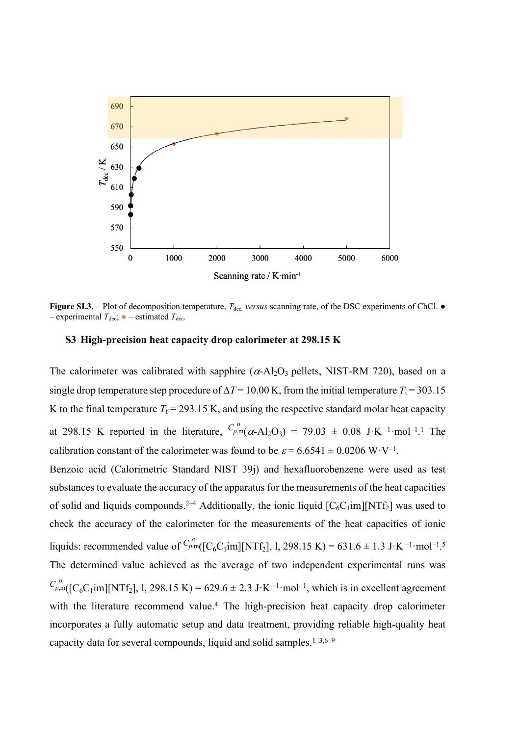

**Figure SI.3.** – Plot of decomposition temperature, *T*<sub>dec,</sub> *versus* scanning rate, of the DSC experiments of ChCl. ● – experimental  $T_{\text{dec}}$ ;  $\bullet$  – estimated  $T_{\text{dec}}$ .

### **S3 High-precision heat capacity drop calorimeter at 298.15 K**

The calorimeter was calibrated with sapphire  $(\alpha - A)_{2}O_{3}$  pellets, NIST-RM 720), based on a single drop temperature step procedure of  $\Delta T = 10.00$  K, from the initial temperature  $T_i = 303.15$ K to the final temperature  $T_f = 293.15$  K, and using the respective standard molar heat capacity at 298.15 K reported in the literature,  $C_{p,m}^{\circ}(\alpha - Al_2O_3) = 79.03 \pm 0.08 \text{ J} \cdot \text{K}^{-1} \cdot \text{mol}^{-1}$ .<sup>1</sup> The  $p,m($   $C$ calibration constant of the calorimeter was found to be  $\varepsilon = 6.6541 \pm 0.0206 \text{ W} \cdot \text{V}^{-1}$ .

Benzoic acid (Calorimetric Standard NIST 39j) and hexafluorobenzene were used as test substances to evaluate the accuracy of the apparatus for the measurements of the heat capacities of solid and liquids compounds.<sup>2-4</sup> Additionally, the ionic liquid  $[C_6C_1im][NTf_2]$  was used to check the accuracy of the calorimeter for the measurements of the heat capacities of ionic liquids: recommended value of  $C_{p,m}^{\circ}([C_6C_1im][NTf_2], 1, 298.15 K) = 631.6 \pm 1.3 J \cdot K^{-1} \cdot mol^{-1}$ .<sup>5</sup>  $p,m($  |  $\blacksquare$ The determined value achieved as the average of two independent experimental runs was  $C_{p,m}^{\circ}([C_6C_1im][NTf_2], 1, 298.15 K) = 629.6 \pm 2.3 J \cdot K^{-1} \cdot mol^{-1}$ , which is in excellent agreement  $p,m($  [ with the literature recommend value.<sup>4</sup> The high-precision heat capacity drop calorimeter incorporates a fully automatic setup and data treatment, providing reliable high-quality heat capacity data for several compounds, liquid and solid samples.1–3,6–9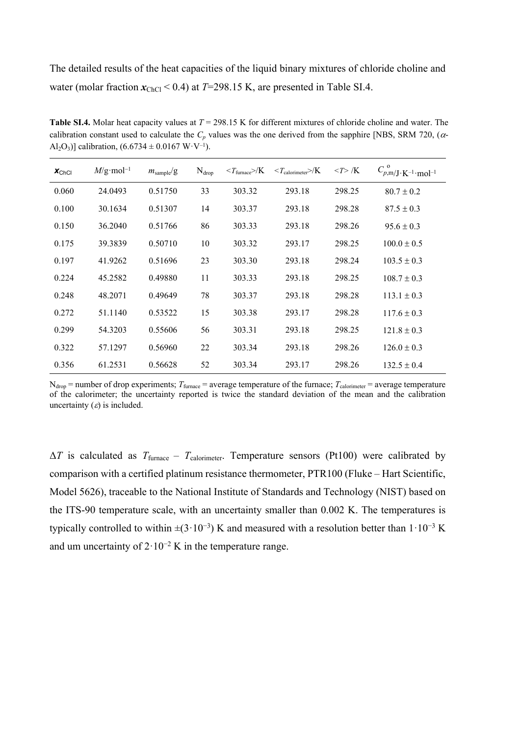The detailed results of the heat capacities of the liquid binary mixtures of chloride choline and water (molar fraction  $x_{ChCl}$  < 0.4) at *T*=298.15 K, are presented in Table SI.4.

**Table SI.4.** Molar heat capacity values at *T* = 298.15 K for different mixtures of chloride choline and water. The calibration constant used to calculate the  $C_p$  values was the one derived from the sapphire [NBS, SRM 720,  $(\alpha$ -Al<sub>2</sub>O<sub>3</sub>)] calibration,  $(6.6734 \pm 0.0167 \text{ W} \cdot \text{V}^{-1})$ .

| $x_{ChCl}$ | $M/\text{g}\cdot\text{mol}^{-1}$ | $m_{\text{sample}}/g$ | $N_{drop}$ | $T_{\text{furnace}}$ /K | $\langle T_{\text{calorimeter}}\rangle$ /K | $\langle T \rangle /K$ | $C^{\;\rm o}_{p,{\mathsf m}/{\mathsf J}\cdot{\mathsf K}^{-1}\cdot{\mathsf m}{\mathsf o}{\mathsf l}^{-1}$ |
|------------|----------------------------------|-----------------------|------------|-------------------------|--------------------------------------------|------------------------|----------------------------------------------------------------------------------------------------------|
| 0.060      | 24.0493                          | 0.51750               | 33         | 303.32                  | 293.18                                     | 298.25                 | $80.7 \pm 0.2$                                                                                           |
| 0.100      | 30.1634                          | 0.51307               | 14         | 303.37                  | 293.18                                     | 298.28                 | $87.5 \pm 0.3$                                                                                           |
| 0.150      | 36.2040                          | 0.51766               | 86         | 303.33                  | 293.18                                     | 298.26                 | $95.6 \pm 0.3$                                                                                           |
| 0.175      | 39.3839                          | 0.50710               | 10         | 303.32                  | 293.17                                     | 298.25                 | $100.0 \pm 0.5$                                                                                          |
| 0.197      | 41.9262                          | 0.51696               | 23         | 303.30                  | 293.18                                     | 298.24                 | $103.5 \pm 0.3$                                                                                          |
| 0.224      | 45.2582                          | 0.49880               | 11         | 303.33                  | 293.18                                     | 298.25                 | $108.7 \pm 0.3$                                                                                          |
| 0.248      | 48.2071                          | 0.49649               | 78         | 303.37                  | 293.18                                     | 298.28                 | $113.1 \pm 0.3$                                                                                          |
| 0.272      | 51.1140                          | 0.53522               | 15         | 303.38                  | 293.17                                     | 298.28                 | $117.6 \pm 0.3$                                                                                          |
| 0.299      | 54.3203                          | 0.55606               | 56         | 303.31                  | 293.18                                     | 298.25                 | $121.8 \pm 0.3$                                                                                          |
| 0.322      | 57.1297                          | 0.56960               | 22         | 303.34                  | 293.18                                     | 298.26                 | $126.0 \pm 0.3$                                                                                          |
| 0.356      | 61.2531                          | 0.56628               | 52         | 303.34                  | 293.17                                     | 298.26                 | $132.5 \pm 0.4$                                                                                          |

 $N_{drop}$  = number of drop experiments;  $T_{furnace}$  = average temperature of the furnace;  $T_{calor}$  = average temperature of the calorimeter; the uncertainty reported is twice the standard deviation of the mean and the calibration uncertainty  $(\varepsilon)$  is included.

 $\Delta T$  is calculated as  $T_{\text{furnace}} - T_{\text{calorimeter}}$ . Temperature sensors (Pt100) were calibrated by comparison with a certified platinum resistance thermometer, PTR100 (Fluke – Hart Scientific, Model 5626), traceable to the National Institute of Standards and Technology (NIST) based on the ITS-90 temperature scale, with an uncertainty smaller than 0.002 K. The temperatures is typically controlled to within  $\pm (3.10^{-3})$  K and measured with a resolution better than  $1.10^{-3}$  K and um uncertainty of  $2 \cdot 10^{-2}$  K in the temperature range.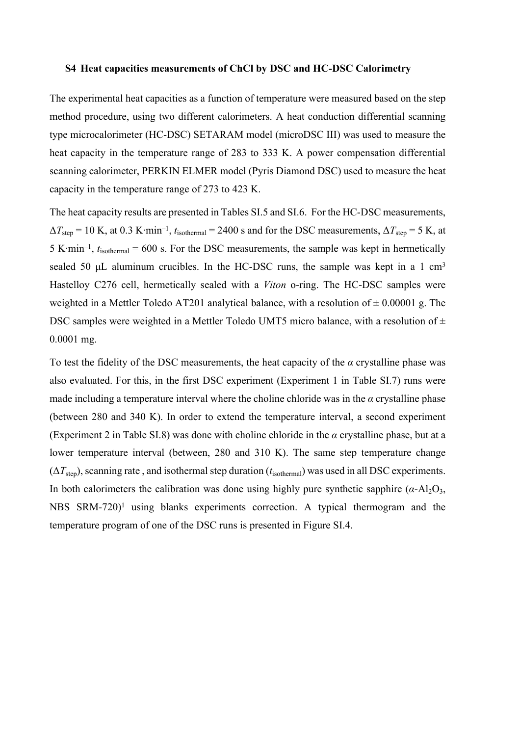#### **S4 Heat capacities measurements of ChCl by DSC and HC-DSC Calorimetry**

The experimental heat capacities as a function of temperature were measured based on the step method procedure, using two different calorimeters. A heat conduction differential scanning type microcalorimeter (HC-DSC) SETARAM model (microDSC III) was used to measure the heat capacity in the temperature range of 283 to 333 K. A power compensation differential scanning calorimeter, PERKIN ELMER model (Pyris Diamond DSC) used to measure the heat capacity in the temperature range of 273 to 423 K.

The heat capacity results are presented in Tables SI.5 and SI.6. For the HC-DSC measurements,  $\Delta T_{\text{step}} = 10 \text{ K}$ , at 0.3 K⋅min<sup>-1</sup>,  $t_{\text{isothermal}} = 2400 \text{ s}$  and for the DSC measurements,  $\Delta T_{\text{step}} = 5 \text{ K}$ , at 5 K∙min–1 , *t*isothermal = 600 s. For the DSC measurements, the sample was kept in hermetically sealed 50  $\mu$ L aluminum crucibles. In the HC-DSC runs, the sample was kept in a 1 cm<sup>3</sup> Hastelloy C276 cell, hermetically sealed with a *Viton* o-ring. The HC-DSC samples were weighted in a Mettler Toledo AT201 analytical balance, with a resolution of  $\pm$  0.00001 g. The DSC samples were weighted in a Mettler Toledo UMT5 micro balance, with a resolution of  $\pm$ 0.0001 mg.

To test the fidelity of the DSC measurements, the heat capacity of the *α* crystalline phase was also evaluated. For this, in the first DSC experiment (Experiment 1 in Table SI.7) runs were made including a temperature interval where the choline chloride was in the  $\alpha$  crystalline phase (between 280 and 340 K). In order to extend the temperature interval, a second experiment (Experiment 2 in Table SI.8) was done with choline chloride in the *α* crystalline phase, but at a lower temperature interval (between, 280 and 310 K). The same step temperature change  $(\Delta T_{\text{step}})$ , scanning rate, and isothermal step duration ( $t_{\text{isothermal}}$ ) was used in all DSC experiments. In both calorimeters the calibration was done using highly pure synthetic sapphire  $(a-Al<sub>2</sub>O<sub>3</sub>$ , NBS  $SRM-720$ <sup>1</sup> using blanks experiments correction. A typical thermogram and the temperature program of one of the DSC runs is presented in Figure SI.4.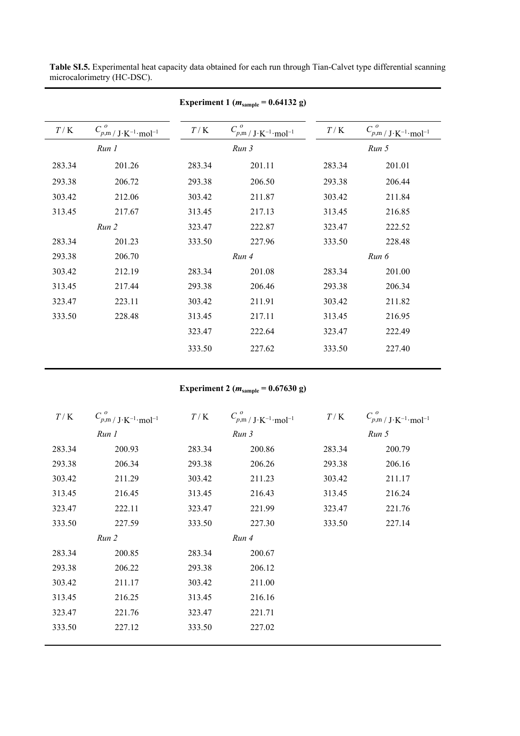| Experiment 1 ( $m_{\text{sample}} = 0.64132 \text{ g}$ ) |                                             |        |                                                                                                        |        |                                                                                                        |  |
|----------------------------------------------------------|---------------------------------------------|--------|--------------------------------------------------------------------------------------------------------|--------|--------------------------------------------------------------------------------------------------------|--|
| T/K                                                      | $C_{p,m}^o / J \cdot K^{-1} \cdot mol^{-1}$ | T/K    | $C_{p,\mathfrak{m}\,/\,\mathbf{J}\cdot\mathbf{K}^{-1}\cdot\mathbf{m}\mathbf{o} \mathbf{l}^{-1}}^{\;o}$ | T/K    | $C_{p,\mathfrak{m}\,/\,\mathbf{J}\cdot\mathbf{K}^{-1}\cdot\mathbf{m}\mathbf{o} \mathbf{l}^{-1}}^{\;o}$ |  |
|                                                          | Run 1                                       |        | Run 3                                                                                                  |        | Run 5                                                                                                  |  |
| 283.34                                                   | 201.26                                      | 283.34 | 201.11                                                                                                 | 283.34 | 201.01                                                                                                 |  |
| 293.38                                                   | 206.72                                      | 293.38 | 206.50                                                                                                 | 293.38 | 206.44                                                                                                 |  |
| 303.42                                                   | 212.06                                      | 303.42 | 211.87                                                                                                 | 303.42 | 211.84                                                                                                 |  |
| 313.45                                                   | 217.67                                      | 313.45 | 217.13                                                                                                 | 313.45 | 216.85                                                                                                 |  |
| Run 2                                                    |                                             | 323.47 | 222.87                                                                                                 | 323.47 | 222.52                                                                                                 |  |
| 283.34                                                   | 201.23                                      | 333.50 | 227.96                                                                                                 | 333.50 | 228.48                                                                                                 |  |
| 293.38                                                   | 206.70                                      |        | Run 4                                                                                                  |        | Run 6                                                                                                  |  |
| 303.42                                                   | 212.19                                      | 283.34 | 201.08                                                                                                 | 283.34 | 201.00                                                                                                 |  |
| 313.45                                                   | 217.44                                      | 293.38 | 206.46                                                                                                 | 293.38 | 206.34                                                                                                 |  |
| 323.47                                                   | 223.11                                      | 303.42 | 211.91                                                                                                 | 303.42 | 211.82                                                                                                 |  |
| 333.50                                                   | 228.48                                      | 313.45 | 217.11                                                                                                 | 313.45 | 216.95                                                                                                 |  |
|                                                          |                                             | 323.47 | 222.64                                                                                                 | 323.47 | 222.49                                                                                                 |  |
|                                                          |                                             | 333.50 | 227.62                                                                                                 | 333.50 | 227.40                                                                                                 |  |

**Table SI.5.** Experimental heat capacity data obtained for each run through Tian-Calvet type differential scanning microcalorimetry (HC-DSC).

**Experiment 2 (***m***sample = 0.67630 g)**

| T/K    | $C_{p,\mathfrak{m}\,/\,\mathbf{J}\cdot\mathbf{K}^{-1}\cdot\mathbf{m}\mathbf{o} \mathbf{l}^{-1}}^{\;o}$ | $T/\sqrt{\mathrm{K}}$ | $C_{p,m}^o / J \cdot K^{-1} \cdot mol^{-1}$ | T/K    | $C_{p,m}^o / J \cdot K^{-1} \cdot mol^{-1}$ |
|--------|--------------------------------------------------------------------------------------------------------|-----------------------|---------------------------------------------|--------|---------------------------------------------|
|        | Run 1                                                                                                  |                       | Run 3                                       |        | Run 5                                       |
| 283.34 | 200.93                                                                                                 | 283.34                | 200.86                                      | 283.34 | 200.79                                      |
| 293.38 | 206.34                                                                                                 | 293.38                | 206.26                                      | 293.38 | 206.16                                      |
| 303.42 | 211.29                                                                                                 | 303.42                | 211.23                                      | 303.42 | 211.17                                      |
| 313.45 | 216.45                                                                                                 | 313.45                | 216.43                                      | 313.45 | 216.24                                      |
| 323.47 | 222.11                                                                                                 | 323.47                | 221.99                                      | 323.47 | 221.76                                      |
| 333.50 | 227.59                                                                                                 | 333.50                | 227.30                                      | 333.50 | 227.14                                      |
|        | Run 2                                                                                                  |                       | Run 4                                       |        |                                             |
| 283.34 | 200.85                                                                                                 | 283.34                | 200.67                                      |        |                                             |
| 293.38 | 206.22                                                                                                 | 293.38                | 206.12                                      |        |                                             |
| 303.42 | 211.17                                                                                                 | 303.42                | 211.00                                      |        |                                             |
| 313.45 | 216.25                                                                                                 | 313.45                | 216.16                                      |        |                                             |
| 323.47 | 221.76                                                                                                 | 323.47                | 221.71                                      |        |                                             |
| 333.50 | 227.12                                                                                                 | 333.50                | 227.02                                      |        |                                             |
|        |                                                                                                        |                       |                                             |        |                                             |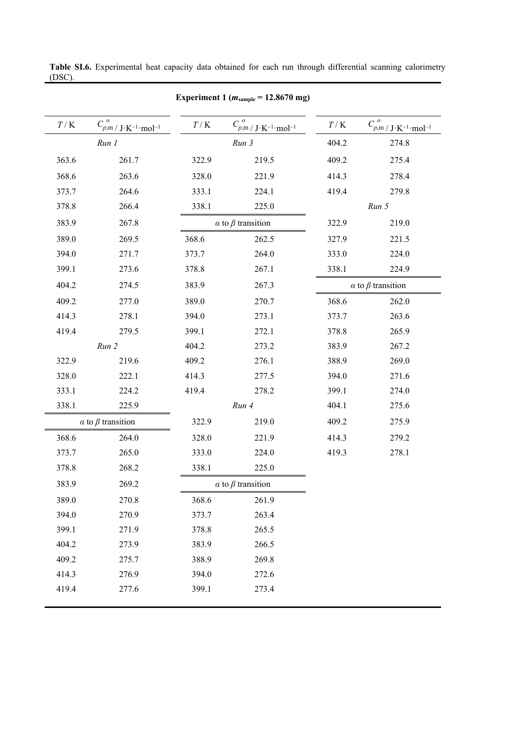|                       |                                                         |                       | Experiment 1 ( $m_{\text{sample}}$ = 12.8670 mg) |                       |                                             |
|-----------------------|---------------------------------------------------------|-----------------------|--------------------------------------------------|-----------------------|---------------------------------------------|
| $T/\sqrt{\mathrm{K}}$ | $C_{p,m}^o / J \cdot K^{-1} \cdot \underline{mol^{-1}}$ | $T/\sqrt{\mathrm{K}}$ | $C_{p,m}^o / J \cdot K^{-1} \cdot mol^{-1}$      | $T/\sqrt{\mathrm{K}}$ | $C_{p,m}^o / J \cdot K^{-1} \cdot mol^{-1}$ |
| Run 1                 |                                                         |                       | Run 3                                            | 404.2                 | 274.8                                       |
| 363.6                 | 261.7                                                   | 322.9                 | 219.5                                            | 409.2                 | 275.4                                       |
| 368.6                 | 263.6                                                   | 328.0                 | 221.9                                            | 414.3                 | 278.4                                       |
| 373.7                 | 264.6                                                   | 333.1                 | 224.1                                            | 419.4                 | 279.8                                       |
| 378.8                 | 266.4                                                   | 338.1                 | 225.0                                            |                       | Run 5                                       |
| 383.9                 | 267.8                                                   |                       | $\alpha$ to $\beta$ transition                   | 322.9                 | 219.0                                       |
| 389.0                 | 269.5                                                   | 368.6                 | 262.5                                            | 327.9                 | 221.5                                       |
| 394.0                 | 271.7                                                   | 373.7                 | 264.0                                            | 333.0                 | 224.0                                       |
| 399.1                 | 273.6                                                   | 378.8                 | 267.1                                            | 338.1                 | 224.9                                       |
| 404.2                 | 274.5                                                   | 383.9                 | 267.3                                            |                       | $\alpha$ to $\beta$ transition              |
| 409.2                 | 277.0                                                   | 389.0                 | 270.7                                            | 368.6                 | 262.0                                       |
| 414.3                 | 278.1                                                   | 394.0                 | 273.1                                            | 373.7                 | 263.6                                       |
| 419.4                 | 279.5                                                   | 399.1                 | 272.1                                            | 378.8                 | 265.9                                       |
| Run 2                 |                                                         | 404.2                 | 273.2                                            | 383.9                 | 267.2                                       |
| 322.9                 | 219.6                                                   | 409.2                 | 276.1                                            | 388.9                 | 269.0                                       |
| 328.0                 | 222.1                                                   | 414.3                 | 277.5                                            | 394.0                 | 271.6                                       |
| 333.1                 | 224.2                                                   | 419.4                 | 278.2                                            | 399.1                 | 274.0                                       |
| 338.1                 | 225.9                                                   |                       | Run 4                                            | 404.1                 | 275.6                                       |
|                       | $\alpha$ to $\beta$ transition                          | 322.9                 | 219.0                                            | 409.2                 | 275.9                                       |
| 368.6                 | 264.0                                                   | 328.0                 | 221.9                                            | 414.3                 | 279.2                                       |
| 373.7                 | 265.0                                                   | 333.0                 | 224.0                                            | 419.3                 | 278.1                                       |
| 378.8                 | 268.2                                                   | 338.1                 | 225.0                                            |                       |                                             |
| 383.9                 | 269.2                                                   |                       | $\alpha$ to $\beta$ transition                   |                       |                                             |
| 389.0                 | 270.8                                                   | 368.6                 | 261.9                                            |                       |                                             |
| 394.0                 | 270.9                                                   | 373.7                 | 263.4                                            |                       |                                             |
| 399.1                 | 271.9                                                   | 378.8                 | 265.5                                            |                       |                                             |
| 404.2                 | 273.9                                                   | 383.9                 | 266.5                                            |                       |                                             |
| 409.2                 | 275.7                                                   | 388.9                 | 269.8                                            |                       |                                             |
| 414.3                 | 276.9                                                   | 394.0                 | 272.6                                            |                       |                                             |
| 419.4                 | 277.6                                                   | 399.1                 | 273.4                                            |                       |                                             |
|                       |                                                         |                       |                                                  |                       |                                             |

**Table SI.6.** Experimental heat capacity data obtained for each run through differential scanning calorimetry (DSC).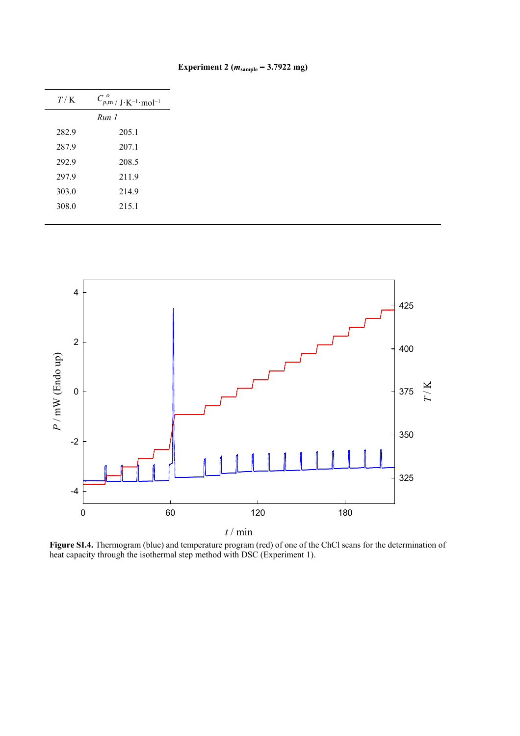| T/K   | $C_{p,m}^o / J \cdot K^{-1} \cdot mol^{-1}$ |  |  |  |
|-------|---------------------------------------------|--|--|--|
|       | Run 1                                       |  |  |  |
| 282.9 | 205.1                                       |  |  |  |
| 287.9 | 207.1                                       |  |  |  |
| 292.9 | 208.5                                       |  |  |  |
| 297.9 | 211.9                                       |  |  |  |
| 303.0 | 214.9                                       |  |  |  |
| 308.0 | 215.1                                       |  |  |  |
|       |                                             |  |  |  |

**Experiment 2 (***m***sample = 3.7922 mg)**



**Figure SI.4.** Thermogram (blue) and temperature program (red) of one of the ChCl scans for the determination of heat capacity through the isothermal step method with DSC (Experiment 1).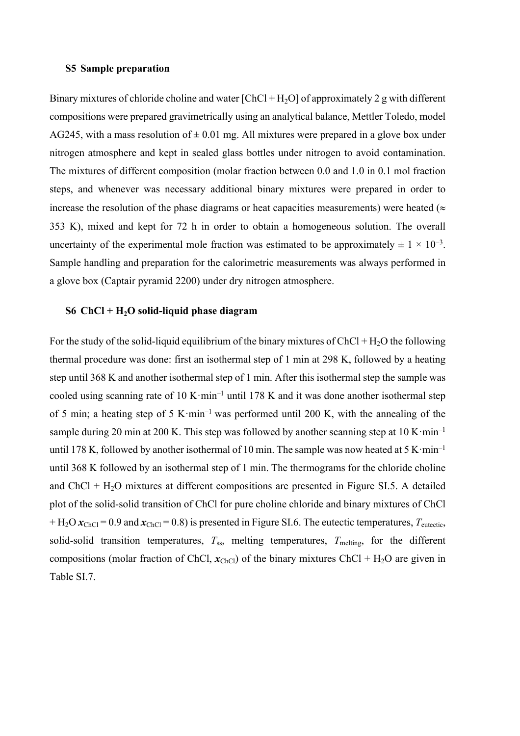#### **S5 Sample preparation**

Binary mixtures of chloride choline and water  $[ChCl + H<sub>2</sub>O]$  of approximately 2 g with different compositions were prepared gravimetrically using an analytical balance, Mettler Toledo, model AG245, with a mass resolution of  $\pm$  0.01 mg. All mixtures were prepared in a glove box under nitrogen atmosphere and kept in sealed glass bottles under nitrogen to avoid contamination. The mixtures of different composition (molar fraction between 0.0 and 1.0 in 0.1 mol fraction steps, and whenever was necessary additional binary mixtures were prepared in order to increase the resolution of the phase diagrams or heat capacities measurements) were heated ( $\approx$ 353 K), mixed and kept for 72 h in order to obtain a homogeneous solution. The overall uncertainty of the experimental mole fraction was estimated to be approximately  $\pm 1 \times 10^{-3}$ . Sample handling and preparation for the calorimetric measurements was always performed in a glove box (Captair pyramid 2200) under dry nitrogen atmosphere.

### **S6 ChCl + H2O solid-liquid phase diagram**

For the study of the solid-liquid equilibrium of the binary mixtures of  $ChCl + H<sub>2</sub>O$  the following thermal procedure was done: first an isothermal step of 1 min at 298 K, followed by a heating step until 368 K and another isothermal step of 1 min. After this isothermal step the sample was cooled using scanning rate of 10 K·min<sup>-1</sup> until 178 K and it was done another isothermal step of 5 min; a heating step of 5 K·min<sup>-1</sup> was performed until 200 K, with the annealing of the sample during 20 min at 200 K. This step was followed by another scanning step at  $10 \text{ K} \cdot \text{min}^{-1}$ until 178 K, followed by another isothermal of 10 min. The sample was now heated at  $5 \text{ K} \cdot \text{min}^{-1}$ until 368 K followed by an isothermal step of 1 min. The thermograms for the chloride choline and ChCl +  $H_2O$  mixtures at different compositions are presented in Figure SI.5. A detailed plot of the solid-solid transition of ChCl for pure choline chloride and binary mixtures of ChCl + H<sub>2</sub>O  $x_{ChCl}$  = 0.9 and  $x_{ChCl}$  = 0.8) is presented in Figure SI.6. The eutectic temperatures,  $T_{\text{eutectic}}$ solid-solid transition temperatures,  $T_{ss}$ , melting temperatures,  $T_{melting}$ , for the different compositions (molar fraction of ChCl,  $x_{ChCl}$ ) of the binary mixtures ChCl + H<sub>2</sub>O are given in Table SI.7.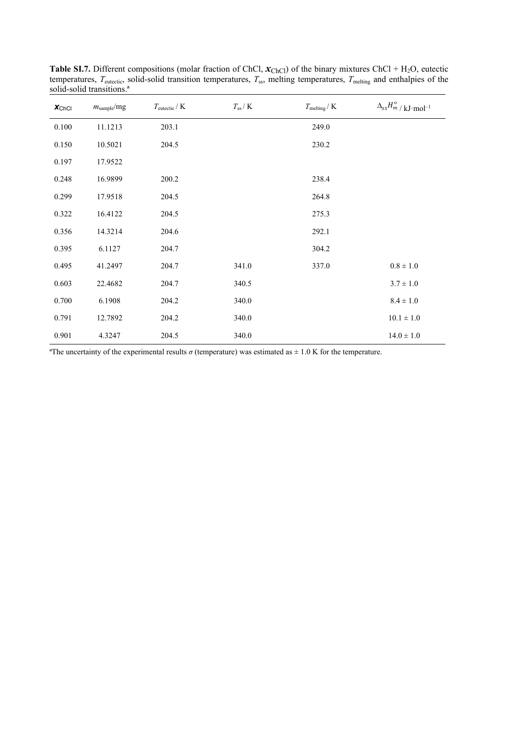| $x_{ChCl}$ | $m_{\text{sample}}$ /mg | $T_{\text{eutectic}}/K$ | $T_{\rm ss} /$ K | $T_{\rm melting}/$ K | $\Delta_{ss}H_{m}^{\rm o} /$ kJ·mol <sup>-1</sup> |
|------------|-------------------------|-------------------------|------------------|----------------------|---------------------------------------------------|
| 0.100      | 11.1213                 | 203.1                   |                  | 249.0                |                                                   |
| 0.150      | 10.5021                 | 204.5                   |                  | 230.2                |                                                   |
| 0.197      | 17.9522                 |                         |                  |                      |                                                   |
| 0.248      | 16.9899                 | 200.2                   |                  | 238.4                |                                                   |
| 0.299      | 17.9518                 | 204.5                   |                  | 264.8                |                                                   |
| 0.322      | 16.4122                 | 204.5                   |                  | 275.3                |                                                   |
| 0.356      | 14.3214                 | 204.6                   |                  | 292.1                |                                                   |
| 0.395      | 6.1127                  | 204.7                   |                  | 304.2                |                                                   |
| 0.495      | 41.2497                 | 204.7                   | 341.0            | 337.0                | $0.8\pm1.0$                                       |
| 0.603      | 22.4682                 | 204.7                   | 340.5            |                      | $3.7 \pm 1.0$                                     |
| 0.700      | 6.1908                  | 204.2                   | 340.0            |                      | $8.4\pm1.0$                                       |
| 0.791      | 12.7892                 | 204.2                   | 340.0            |                      | $10.1\pm1.0$                                      |
| 0.901      | 4.3247                  | 204.5                   | 340.0            |                      | $14.0 \pm 1.0$                                    |

**Table SI.7.** Different compositions (molar fraction of ChCl,  $\mathbf{x}_{ChCl}$ ) of the binary mixtures ChCl + H<sub>2</sub>O, eutectic temperatures,  $T_{\text{eutectic}}$ , solid-solid transition temperatures,  $T_{\text{ss}}$ , melting temperatures,  $T_{\text{melting}}$  and enthalpies of the solid-solid transitions.ª

<sup>a</sup>The uncertainty of the experimental results  $\sigma$  (temperature) was estimated as  $\pm$  1.0 K for the temperature.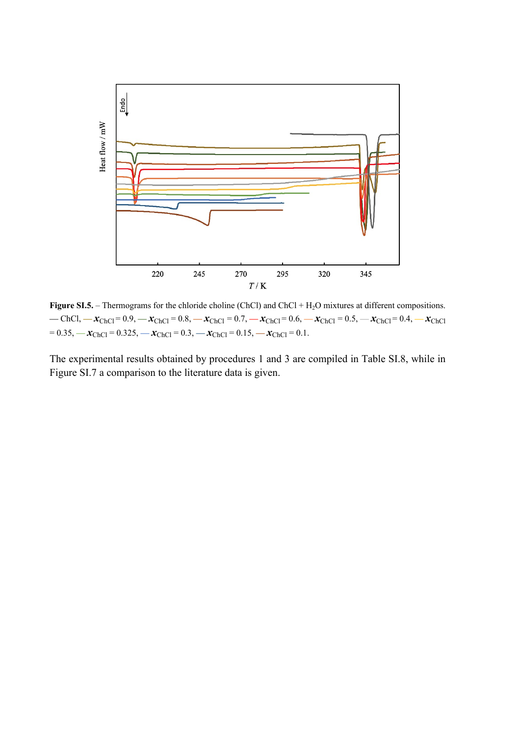

**Figure SI.5.** – Thermograms for the chloride choline (ChCl) and ChCl + H<sub>2</sub>O mixtures at different compositions. **—** ChCl, **—** *x*ChCl = 0.9, **—** *x*ChCl = 0.8, **—** *x*ChCl = 0.7, **—** *x*ChCl = 0.6, **—** *x*ChCl = 0.5, **—** *x*ChCl = 0.4, **—** *x*ChCl  $= 0.35,$   $-\chi$ <sub>ChCl</sub>  $= 0.325,$   $-\chi$ <sub>ChCl</sub>  $= 0.3,$   $-\chi$ <sub>ChCl</sub>  $= 0.15,$   $-\chi$ <sub>ChCl</sub>  $= 0.1$ .

The experimental results obtained by procedures 1 and 3 are compiled in Table SI.8, while in Figure SI.7 a comparison to the literature data is given.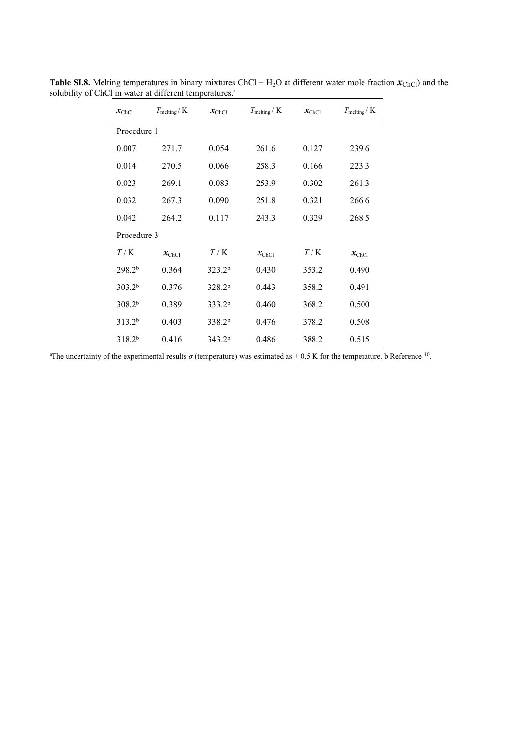| $x_{\text{ChCl}}$  | $T_{\text{melting}}/K$ | $x_{\text{ChCl}}$  | $T_{\text{melting}}/K$ | $x_{\text{ChCl}}$ | $T_{\text{melting}}/K$ |  |  |
|--------------------|------------------------|--------------------|------------------------|-------------------|------------------------|--|--|
| Procedure 1        |                        |                    |                        |                   |                        |  |  |
| 0.007              | 271.7                  | 0.054              | 261.6                  | 0.127             | 239.6                  |  |  |
| 0.014              | 270.5                  | 0.066              | 258.3                  | 0.166             | 223.3                  |  |  |
| 0.023              | 269.1                  | 0.083              | 253.9                  | 0.302             | 261.3                  |  |  |
| 0.032              | 267.3                  | 0.090              | 251.8                  | 0.321             | 266.6                  |  |  |
| 0.042              | 264.2                  | 0.117              | 243.3                  | 0.329             | 268.5                  |  |  |
| Procedure 3        |                        |                    |                        |                   |                        |  |  |
| T/K                | $x_{\text{ChCl}}$      | T/K                | $x_{\text{ChCl}}$      | T/K               | $x_{\text{ChCl}}$      |  |  |
| 298.2 <sup>b</sup> | 0.364                  | 323.2 <sup>b</sup> | 0.430                  | 353.2             | 0.490                  |  |  |
| 303.2 <sup>b</sup> | 0.376                  | 328.2 <sup>b</sup> | 0.443                  | 358.2             | 0.491                  |  |  |
| 308.2 <sup>b</sup> | 0.389                  | 333.2 <sup>b</sup> | 0.460                  | 368.2             | 0.500                  |  |  |
| 313.2 <sup>b</sup> | 0.403                  | 338.2 <sup>b</sup> | 0.476                  | 378.2             | 0.508                  |  |  |
| 318.2 <sup>b</sup> | 0.416                  | 343.2 <sup>b</sup> | 0.486                  | 388.2             | 0.515                  |  |  |

**Table SI.8.** Melting temperatures in binary mixtures ChCl +  $H_2O$  at different water mole fraction  $\mathbf{x}_{ChCl}$ ) and the solubility of ChCl in water at different temperatures.<sup>a</sup>

<sup>a</sup>The uncertainty of the experimental results  $\sigma$  (temperature) was estimated as  $\pm$  0.5 K for the temperature. b Reference <sup>10</sup>.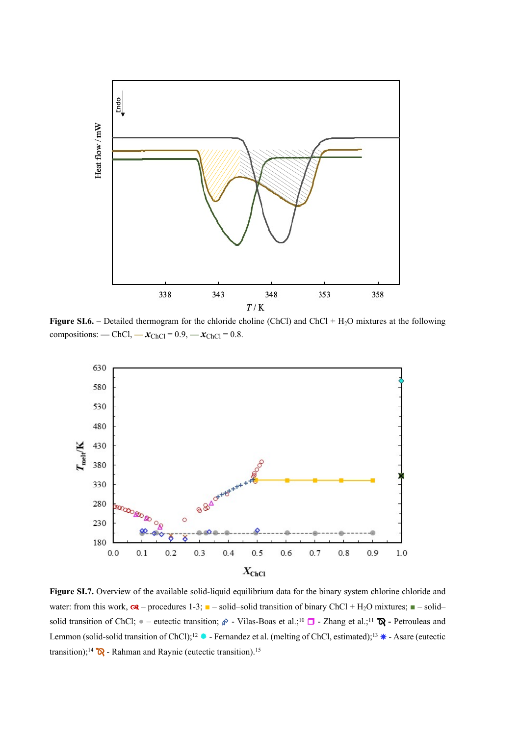

**Figure SI.6.** – Detailed thermogram for the chloride choline (ChCl) and ChCl + H<sub>2</sub>O mixtures at the following compositions: — ChCl,  $-x_{ChCl} = 0.9, -x_{ChCl} = 0.8.$ 



**Figure SI.7.** Overview of the available solid-liquid equilibrium data for the binary system chlorine chloride and water: from this work,  $\alpha$  – procedures 1-3;  $\blacksquare$  – solid–solid transition of binary ChCl + H<sub>2</sub>O mixtures;  $\blacksquare$  – solid– solid transition of ChCl;  $\bullet$  – eutectic transition;  $\hat{\phi}$  - Vilas-Boas et al.;<sup>10</sup>  $\Box$  - Zhang et al.;<sup>11</sup>  $\hat{\mathbb{Q}}$  - Petrouleas and Lemmon (solid-solid transition of ChCl);<sup>12</sup>  $\bullet$  - Fernandez et al. (melting of ChCl, estimated);<sup>13</sup>  $\bullet$  - Asare (eutectic transition);<sup>14</sup>  $\mathbb{R}$  - Rahman and Raynie (eutectic transition).<sup>15</sup>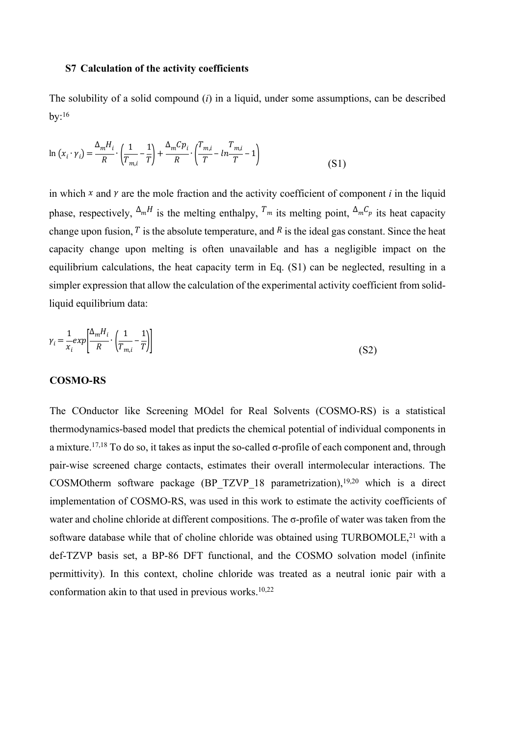#### **S7 Calculation of the activity coefficients**

The solubility of a solid compound (*i*) in a liquid, under some assumptions, can be described  $bv:$ <sup>16</sup>

$$
\ln (x_i \cdot \gamma_i) = \frac{\Delta_m H_i}{R} \cdot \left(\frac{1}{T_{m,i}} - \frac{1}{T}\right) + \frac{\Delta_m C p_i}{R} \cdot \left(\frac{T_{m,i}}{T} - \ln \frac{T_{m,i}}{T} - 1\right)
$$
(S1)

in which  $x$  and  $y$  are the mole fraction and the activity coefficient of component  $i$  in the liquid phase, respectively,  $\Delta_m H$  is the melting enthalpy,  $T_m$  its melting point,  $\Delta_m C_p$  its heat capacity change upon fusion,  $T$  is the absolute temperature, and  $R$  is the ideal gas constant. Since the heat capacity change upon melting is often unavailable and has a negligible impact on the equilibrium calculations, the heat capacity term in Eq. (S1) can be neglected, resulting in a simpler expression that allow the calculation of the experimental activity coefficient from solidliquid equilibrium data:

$$
\gamma_i = \frac{1}{x_i} exp\left[\frac{\Delta_m H_i}{R} \cdot \left(\frac{1}{T_{m,i}} - \frac{1}{T}\right)\right]
$$
\n(S2)

#### **COSMO-RS**

The COnductor like Screening MOdel for Real Solvents (COSMO-RS) is a statistical thermodynamics-based model that predicts the chemical potential of individual components in a mixture.17,18 To do so, it takes as input the so-called σ-profile of each component and, through pair-wise screened charge contacts, estimates their overall intermolecular interactions. The COSMOtherm software package (BP\_TZVP\_18 parametrization),19,20 which is a direct implementation of COSMO-RS, was used in this work to estimate the activity coefficients of water and choline chloride at different compositions. The σ-profile of water was taken from the software database while that of choline chloride was obtained using TURBOMOLE,<sup>21</sup> with a def-TZVP basis set, a BP-86 DFT functional, and the COSMO solvation model (infinite permittivity). In this context, choline chloride was treated as a neutral ionic pair with a conformation akin to that used in previous works. $10,22$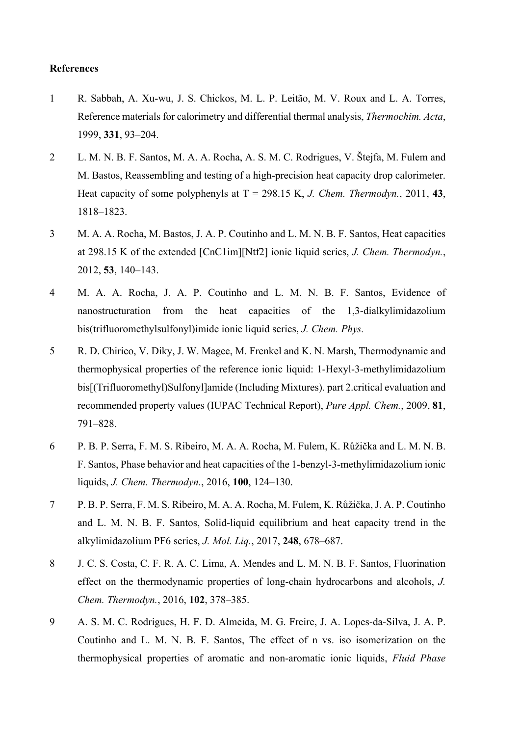#### **References**

- 1 R. Sabbah, A. Xu-wu, J. S. Chickos, M. L. P. Leitão, M. V. Roux and L. A. Torres, Reference materials for calorimetry and differential thermal analysis, *Thermochim. Acta*, 1999, **331**, 93–204.
- 2 L. M. N. B. F. Santos, M. A. A. Rocha, A. S. M. C. Rodrigues, V. Štejfa, M. Fulem and M. Bastos, Reassembling and testing of a high-precision heat capacity drop calorimeter. Heat capacity of some polyphenyls at  $T = 298.15$  K, *J. Chem. Thermodyn.*, 2011, 43, 1818–1823.
- 3 M. A. A. Rocha, M. Bastos, J. A. P. Coutinho and L. M. N. B. F. Santos, Heat capacities at 298.15 K of the extended [CnC1im][Ntf2] ionic liquid series, *J. Chem. Thermodyn.*, 2012, **53**, 140–143.
- 4 M. A. A. Rocha, J. A. P. Coutinho and L. M. N. B. F. Santos, Evidence of nanostructuration from the heat capacities of the 1,3-dialkylimidazolium bis(trifluoromethylsulfonyl)imide ionic liquid series, *J. Chem. Phys.*
- 5 R. D. Chirico, V. Diky, J. W. Magee, M. Frenkel and K. N. Marsh, Thermodynamic and thermophysical properties of the reference ionic liquid: 1-Hexyl-3-methylimidazolium bis[(Trifluoromethyl)Sulfonyl]amide (Including Mixtures). part 2.critical evaluation and recommended property values (IUPAC Technical Report), *Pure Appl. Chem.*, 2009, **81**, 791–828.
- 6 P. B. P. Serra, F. M. S. Ribeiro, M. A. A. Rocha, M. Fulem, K. Růžička and L. M. N. B. F. Santos, Phase behavior and heat capacities of the 1-benzyl-3-methylimidazolium ionic liquids, *J. Chem. Thermodyn.*, 2016, **100**, 124–130.
- 7 P. B. P. Serra, F. M. S. Ribeiro, M. A. A. Rocha, M. Fulem, K. Růžička, J. A. P. Coutinho and L. M. N. B. F. Santos, Solid-liquid equilibrium and heat capacity trend in the alkylimidazolium PF6 series, *J. Mol. Liq.*, 2017, **248**, 678–687.
- 8 J. C. S. Costa, C. F. R. A. C. Lima, A. Mendes and L. M. N. B. F. Santos, Fluorination effect on the thermodynamic properties of long-chain hydrocarbons and alcohols, *J. Chem. Thermodyn.*, 2016, **102**, 378–385.
- 9 A. S. M. C. Rodrigues, H. F. D. Almeida, M. G. Freire, J. A. Lopes-da-Silva, J. A. P. Coutinho and L. M. N. B. F. Santos, The effect of n vs. iso isomerization on the thermophysical properties of aromatic and non-aromatic ionic liquids, *Fluid Phase*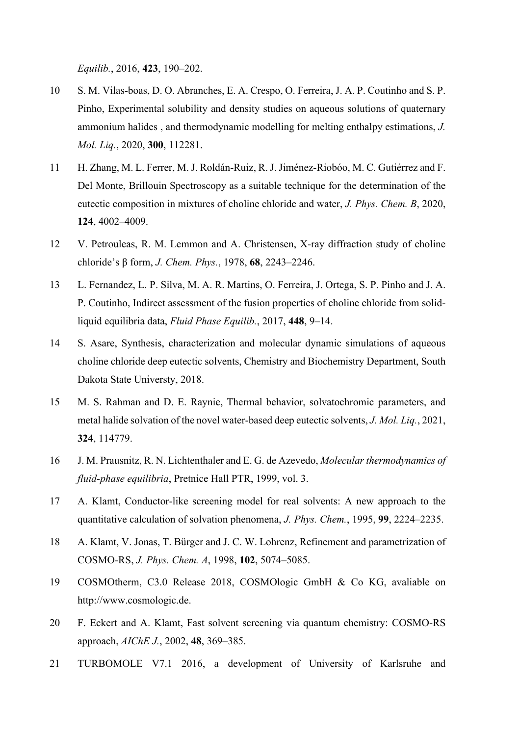*Equilib.*, 2016, **423**, 190–202.

- 10 S. M. Vilas-boas, D. O. Abranches, E. A. Crespo, O. Ferreira, J. A. P. Coutinho and S. P. Pinho, Experimental solubility and density studies on aqueous solutions of quaternary ammonium halides , and thermodynamic modelling for melting enthalpy estimations, *J. Mol. Liq.*, 2020, **300**, 112281.
- 11 H. Zhang, M. L. Ferrer, M. J. Roldán-Ruiz, R. J. Jiménez-Riobóo, M. C. Gutiérrez and F. Del Monte, Brillouin Spectroscopy as a suitable technique for the determination of the eutectic composition in mixtures of choline chloride and water, *J. Phys. Chem. B*, 2020, **124**, 4002–4009.
- 12 V. Petrouleas, R. M. Lemmon and A. Christensen, X-ray diffraction study of choline chloride's β form, *J. Chem. Phys.*, 1978, **68**, 2243–2246.
- 13 L. Fernandez, L. P. Silva, M. A. R. Martins, O. Ferreira, J. Ortega, S. P. Pinho and J. A. P. Coutinho, Indirect assessment of the fusion properties of choline chloride from solidliquid equilibria data, *Fluid Phase Equilib.*, 2017, **448**, 9–14.
- 14 S. Asare, Synthesis, characterization and molecular dynamic simulations of aqueous choline chloride deep eutectic solvents, Chemistry and Biochemistry Department, South Dakota State Universty, 2018.
- 15 M. S. Rahman and D. E. Raynie, Thermal behavior, solvatochromic parameters, and metal halide solvation of the novel water-based deep eutectic solvents, *J. Mol. Liq.*, 2021, **324**, 114779.
- 16 J. M. Prausnitz, R. N. Lichtenthaler and E. G. de Azevedo, *Molecular thermodynamics of fluid-phase equilibria*, Pretnice Hall PTR, 1999, vol. 3.
- 17 A. Klamt, Conductor-like screening model for real solvents: A new approach to the quantitative calculation of solvation phenomena, *J. Phys. Chem.*, 1995, **99**, 2224–2235.
- 18 A. Klamt, V. Jonas, T. Bürger and J. C. W. Lohrenz, Refinement and parametrization of COSMO-RS, *J. Phys. Chem. A*, 1998, **102**, 5074–5085.
- 19 COSMOtherm, C3.0 Release 2018, COSMOlogic GmbH & Co KG, avaliable on http://www.cosmologic.de.
- 20 F. Eckert and A. Klamt, Fast solvent screening via quantum chemistry: COSMO-RS approach, *AIChE J.*, 2002, **48**, 369–385.
- 21 TURBOMOLE V7.1 2016, a development of University of Karlsruhe and